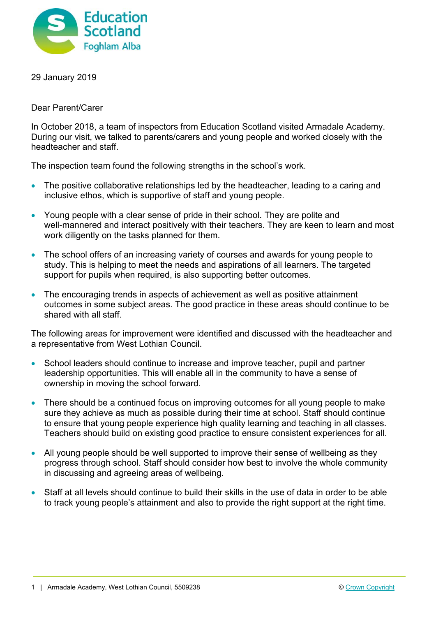

29 January 2019

Dear Parent/Carer

In October 2018, a team of inspectors from Education Scotland visited Armadale Academy. During our visit, we talked to parents/carers and young people and worked closely with the headteacher and staff.

The inspection team found the following strengths in the school's work.

- The positive collaborative relationships led by the headteacher, leading to a caring and inclusive ethos, which is supportive of staff and young people.
- Young people with a clear sense of pride in their school. They are polite and well-mannered and interact positively with their teachers. They are keen to learn and most work diligently on the tasks planned for them.
- The school offers of an increasing variety of courses and awards for young people to study. This is helping to meet the needs and aspirations of all learners. The targeted support for pupils when required, is also supporting better outcomes.
- The encouraging trends in aspects of achievement as well as positive attainment outcomes in some subject areas. The good practice in these areas should continue to be shared with all staff.

The following areas for improvement were identified and discussed with the headteacher and a representative from West Lothian Council.

- School leaders should continue to increase and improve teacher, pupil and partner leadership opportunities. This will enable all in the community to have a sense of ownership in moving the school forward.
- There should be a continued focus on improving outcomes for all young people to make sure they achieve as much as possible during their time at school. Staff should continue to ensure that young people experience high quality learning and teaching in all classes. Teachers should build on existing good practice to ensure consistent experiences for all.
- All young people should be well supported to improve their sense of wellbeing as they progress through school. Staff should consider how best to involve the whole community in discussing and agreeing areas of wellbeing.
- Staff at all levels should continue to build their skills in the use of data in order to be able to track young people's attainment and also to provide the right support at the right time.